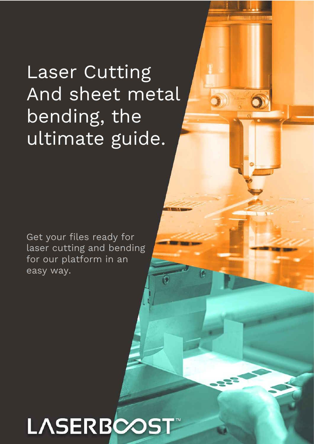# Laser Cutting And sheet metal bending, the ultimate guide.

Get your files ready for laser cutting and bending for our platform in an easy way.

# LASERBCO **!**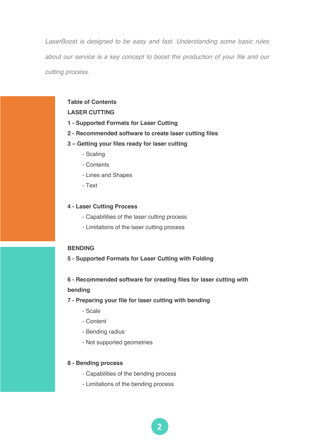*LaserBoost is designed to be easy and fast. Understanding some basic rules about our service is a key concept to boost the production of your file and our cutting process.*

### **Table of Contents**

### **LASER CUTTING**

- **1 - Supported Formats for Laser Cutting**
- **2 - Recommended software to create laser cutting files**
- **3 – Getting your files ready for laser cutting**
	- Scaling
	- Contents
	- Lines and Shapes
	- Text

#### **4 - Laser Cutting Process**

- Capabilities of the laser cutting process
- Limitations of the laser cutting process

#### **BENDING**

**5 - Supported Formats for Laser Cutting with Folding**

**6 - Recommended software for creating files for laser cutting with bending**

- **7 - Preparing your file for laser cutting with bending**
	- Scale
	- Content
	- Bending radius
	- Not supported geometries

#### **8 - Bending process**

- Capabilities of the bending process
- Limitations of the bending process

**#**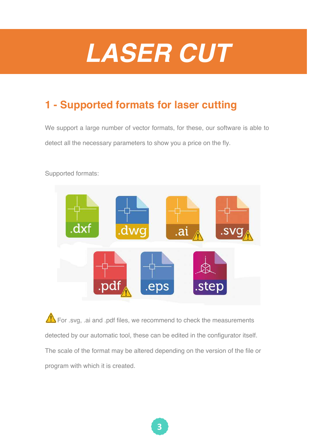# *LASER CUT*

## **1 - Supported formats for laser cutting**

We support a large number of vector formats, for these, our software is able to detect all the necessary parameters to show you a price on the fly.



Supported formats:

For .svg, .ai and .pdf files, we recommend to check the measurements detected by our automatic tool, these can be edited in the configurator itself. The scale of the format may be altered depending on the version of the file or program with which it is created.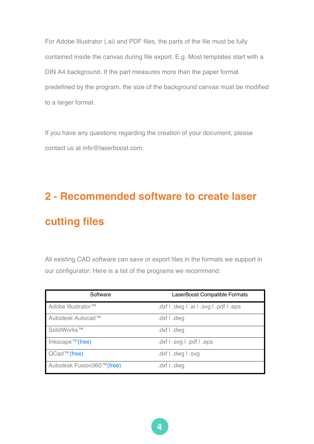For Adobe Illustrator (.ai) and PDF files, the parts of the file must be fully contained inside the canvas during file export. E.g. Most templates start with a DIN A4 background. If the part measures more than the paper format predefined by the program, the size of the background canvas must be modified to a larger format.

If you have any questions regarding the creation of your document, please contact us at info@laserboost.com

# **2 - Recommended software to create laser cutting files**

All existing CAD software can save or export files in the formats we support in our configurator. Here is a list of the programs we recommend:

| Software                                   | LaserBoost Compatible Formats          |
|--------------------------------------------|----------------------------------------|
| Adobe Illustrator™                         | .dxf I .dwg I .ai I .svg I .pdf I .eps |
| Autodesk Autocad™                          | .dxf I .dwg                            |
| SolidWorks™                                | .dxf I .dwg                            |
| Inkscape <sup><math>TM</math></sup> (free) | .dxf l .svg l .pdf l .eps              |
| $QCad^{TM}$ (free)                         | .dxf I .dwg I .svg                     |
| Autodesk Fusion360™(free)                  | .dxf I .dwg                            |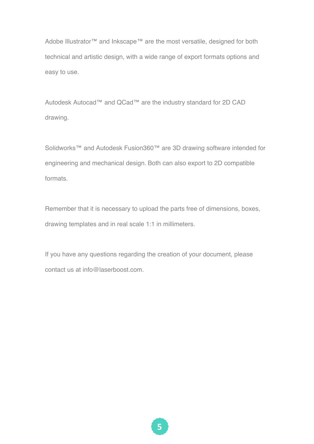Adobe Illustrator™ and Inkscape™ are the most versatile, designed for both technical and artistic design, with a wide range of export formats options and easy to use.

Autodesk Autocad™ and QCad™ are the industry standard for 2D CAD drawing.

Solidworks™ and Autodesk Fusion360™ are 3D drawing software intended for engineering and mechanical design. Both can also export to 2D compatible formats.

Remember that it is necessary to upload the parts free of dimensions, boxes, drawing templates and in real scale 1:1 in millimeters.

If you have any questions regarding the creation of your document, please contact us at info@laserboost.com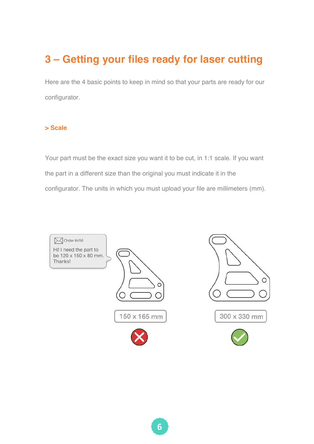# **3 – Getting your files ready for laser cutting**

Here are the 4 basic points to keep in mind so that your parts are ready for our configurator.

### **> Scale**

Your part must be the exact size you want it to be cut, in 1:1 scale. If you want the part in a different size than the original you must indicate it in the configurator. The units in which you must upload your file are millimeters (mm).

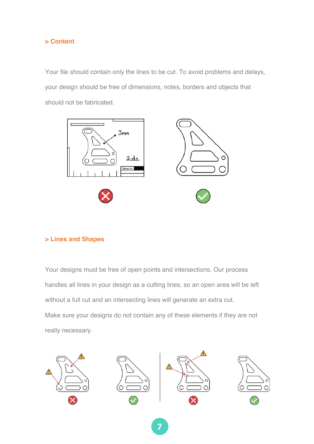

Your file should contain only the lines to be cut. To avoid problems and delays, your design should be free of dimensions, notes, borders and objects that should not be fabricated.



### **> Lines and Shapes**

Your designs must be free of open points and intersections. Our process handles all lines in your design as a cutting lines, so an open area will be left without a full cut and an intersecting lines will generate an extra cut. Make sure your designs do not contain any of these elements if they are not really necessary.



**(**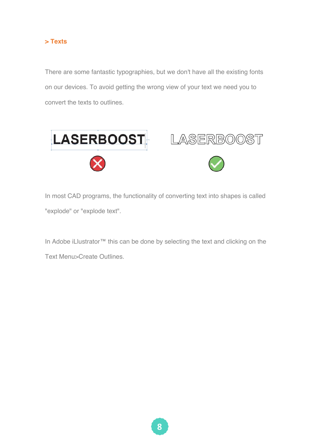

There are some fantastic typographies, but we don't have all the existing fonts on our devices. To avoid getting the wrong view of your text we need you to convert the texts to outlines.



In most CAD programs, the functionality of converting text into shapes is called "explode" or "explode text".

In Adobe iLlustrator™ this can be done by selecting the text and clicking on the Text Menu>Create Outlines.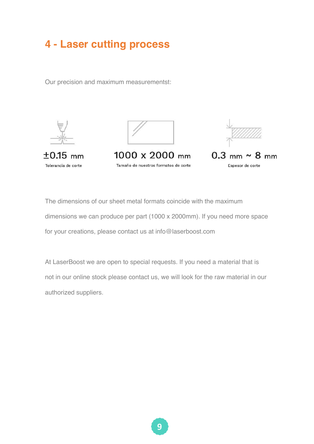### **4 - Laser cutting process**

Our precision and maximum measurementst:







 $1000 \times 2000$  mm Tamaño de nuestros formatos de corte



The dimensions of our sheet metal formats coincide with the maximum dimensions we can produce per part (1000 x 2000mm). If you need more space for your creations, please contact us at info@laserboost.com

At LaserBoost we are open to special requests. If you need a material that is not in our online stock please contact us, we will look for the raw material in our authorized suppliers.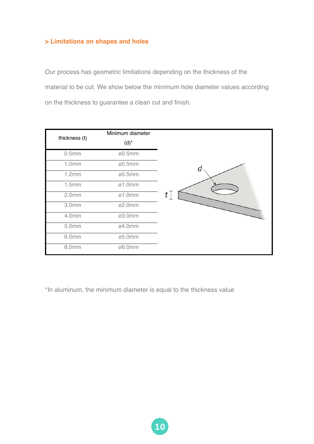### **> Limitations on shapes and holes**

Our process has geometric limitations depending on the thickness of the material to be cut. We show below the minimum hole diameter values according on the thickness to guarantee a clean cut and finish.

| thickness (t)     | Minimum diameter<br>$(d)^*$ |         |
|-------------------|-----------------------------|---------|
| 0.5mm             | ø0.5mm                      |         |
| 1.0mm             | ø0.5mm                      | Q       |
| 1.2mm             | ø0.5mm                      |         |
| 1.5mm             | $\varnothing$ 1.0mm         |         |
| 2.0 <sub>mm</sub> | $\varnothing$ 1.0mm         | $t\top$ |
| 3.0mm             | ø2.0mm                      |         |
| 4.0mm             | ø3.0mm                      |         |
| 5.0mm             | ø4.0mm                      |         |
| 6.0mm             | ø5.0mm                      |         |
| 8.0mm             | ø6.0mm                      |         |

\*In aluminum, the minimum diameter is equal to the thickness value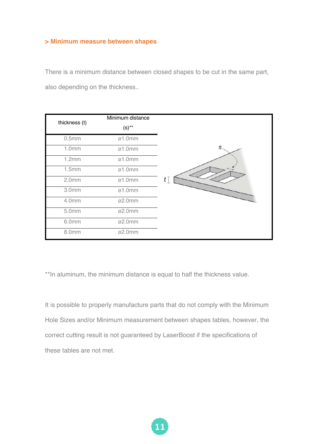#### **> Minimum measure between shapes**

There is a minimum distance between closed shapes to be cut in the same part, also depending on the thickness..

| thickness (t)     | Minimum distance<br>$(s)$ ** |   |
|-------------------|------------------------------|---|
| 0.5mm             | $\varnothing$ 1.0mm          |   |
| 1.0mm             | $\varnothing$ 1.0mm          | S |
| 1.2mm             | $\varnothing$ 1.0mm          |   |
| 1.5mm             | $\varnothing$ 1.0mm          |   |
| 2.0 <sub>mm</sub> | $\varnothing$ 1.0mm          | t |
| 3.0mm             | $\varnothing$ 1.0mm          |   |
| 4.0mm             | ø2.0mm                       |   |
| 5.0mm             | ø2.0mm                       |   |
| 6.0mm             | ø2.0mm                       |   |
| 8.0mm             | ø2.0mm                       |   |

\*\*In aluminum, the minimum distance is equal to half the thickness value.

It is possible to properly manufacture parts that do not comply with the Minimum Hole Sizes and/or Minimum measurement between shapes tables, however, the correct cutting result is not guaranteed by LaserBoost if the specifications of these tables are not met.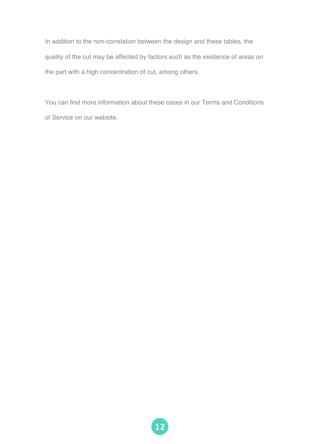In addition to the non-correlation between the design and these tables, the quality of the cut may be affected by factors such as the existence of areas on the part with a high concentration of cut, among others.

You can find more information about these cases in our Terms and Conditions of Service on our website.

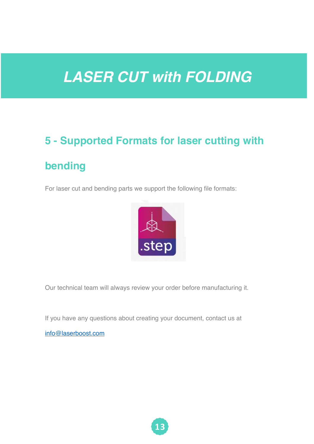# *LASER CUT with FOLDING*

# **5 - Supported Formats for laser cutting with bending**

For laser cut and bending parts we support the following file formats:



Our technical team will always review your order before manufacturing it.

If you have any questions about creating your document, contact us at

info@laserboost.com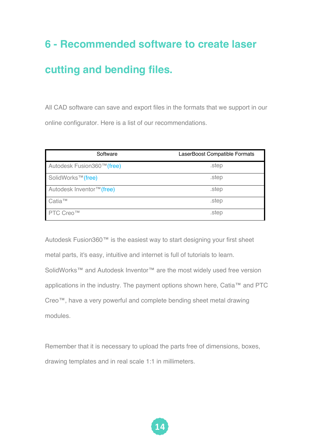# **6 - Recommended software to create laser**

### **cutting and bending files.**

All CAD software can save and export files in the formats that we support in our online configurator. Here is a list of our recommendations.

| Software                       | LaserBoost Compatible Formats |
|--------------------------------|-------------------------------|
| Autodesk Fusion360™(free)      | .step                         |
| SolidWorks <sup>™</sup> (free) | .step                         |
| Autodesk Inventor™ (free)      | .step                         |
| Catia™                         | .step                         |
| PTC Creo™                      | .step                         |

Autodesk Fusion360™ is the easiest way to start designing your first sheet metal parts, it's easy, intuitive and internet is full of tutorials to learn. SolidWorks™ and Autodesk Inventor™ are the most widely used free version applications in the industry. The payment options shown here, Catia™ and PTC Creo™, have a very powerful and complete bending sheet metal drawing modules.

Remember that it is necessary to upload the parts free of dimensions, boxes, drawing templates and in real scale 1:1 in millimeters.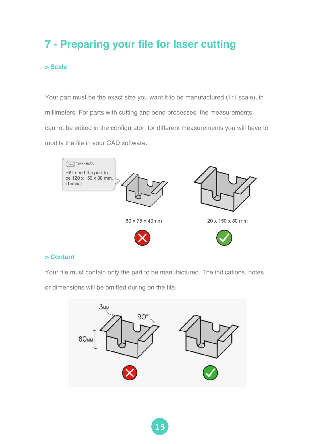# **7 - Preparing your file for laser cutting**

### **> Scale**

Your part must be the exact size you want it to be manufactured (1:1 scale), in millimeters. For parts with cutting and bend processes, the measurements cannot be edited in the configurator, for different measurements you will have to modify the file in your CAD software.



### **> Content**

Your file must contain only the part to be manufactured. The indications, notes

or dimensions will be omitted during on the file.

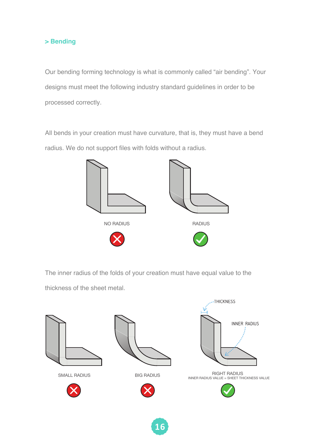### **> Bending**

Our bending forming technology is what is commonly called "air bending". Your designs must meet the following industry standard guidelines in order to be processed correctly.

All bends in your creation must have curvature, that is, they must have a bend radius. We do not support files with folds without a radius.



The inner radius of the folds of your creation must have equal value to the thickness of the sheet metal.



**16**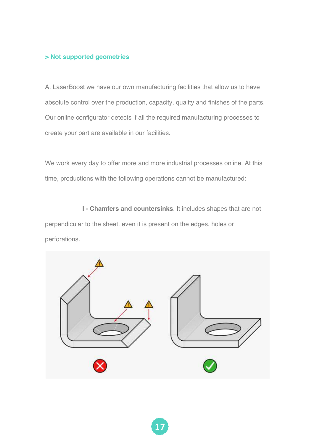### **> Not supported geometries**

At LaserBoost we have our own manufacturing facilities that allow us to have absolute control over the production, capacity, quality and finishes of the parts. Our online configurator detects if all the required manufacturing processes to create your part are available in our facilities.

We work every day to offer more and more industrial processes online. At this time, productions with the following operations cannot be manufactured:

**I - Chamfers and countersinks**. It includes shapes that are not perpendicular to the sheet, even it is present on the edges, holes or perforations.

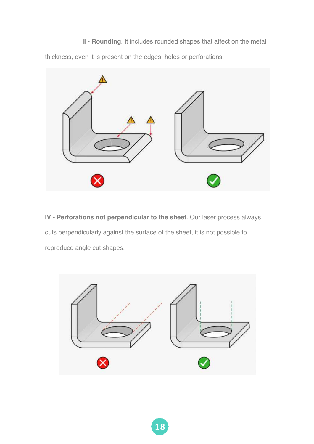**II - Rounding**. It includes rounded shapes that affect on the metal thickness, even it is present on the edges, holes or perforations.



**IV - Perforations not perpendicular to the sheet**. Our laser process always cuts perpendicularly against the surface of the sheet, it is not possible to reproduce angle cut shapes.

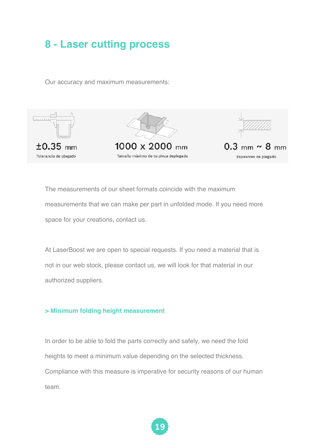### **8 - Laser cutting process**

Our accuracy and maximum measurements:



The measurements of our sheet formats coincide with the maximum measurements that we can make per part in unfolded mode. If you need more space for your creations, contact us.

At LaserBoost we are open to special requests. If you need a material that is not in our web stock, please contact us, we will look for that material in our authorized suppliers.

### **> Minimum folding height measurement**

In order to be able to fold the parts correctly and safely, we need the fold heights to meet a minimum value depending on the selected thickness. Compliance with this measure is imperative for security reasons of our human team.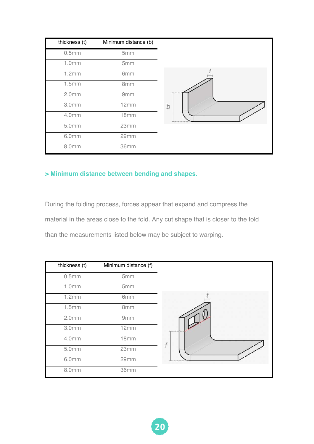| thickness (t)     | Minimum distance (b) |   |
|-------------------|----------------------|---|
| 0.5mm             | 5mm                  |   |
| 1.0mm             | 5mm                  |   |
| 1.2mm             | 6mm                  |   |
| 1.5mm             | 8mm                  |   |
| 2.0 <sub>mm</sub> | 9mm                  |   |
| 3.0mm             | 12mm                 | b |
| 4.0mm             | 18mm                 |   |
| 5.0mm             | 23mm                 |   |
| 6.0mm             | 29mm                 |   |
| 8.0mm             | 36mm                 |   |

### **> Minimum distance between bending and shapes.**

During the folding process, forces appear that expand and compress the material in the areas close to the fold. Any cut shape that is closer to the fold than the measurements listed below may be subject to warping.

| thickness (t)     | Minimum distance (f) |  |
|-------------------|----------------------|--|
| 0.5mm             | 5mm                  |  |
| 1.0mm             | 5mm                  |  |
| 1.2mm             | 6mm                  |  |
| 1.5mm             | 8mm                  |  |
| 2.0 <sub>mm</sub> | 9mm                  |  |
| 3.0mm             | 12mm                 |  |
| 4.0mm             | 18mm                 |  |
| 5.0mm             | 23mm                 |  |
| 6.0mm             | 29mm                 |  |
| 8.0mm             | 36mm                 |  |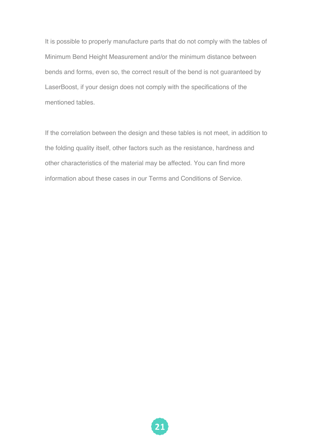It is possible to properly manufacture parts that do not comply with the tables of Minimum Bend Height Measurement and/or the minimum distance between bends and forms, even so, the correct result of the bend is not guaranteed by LaserBoost, if your design does not comply with the specifications of the mentioned tables.

If the correlation between the design and these tables is not meet, in addition to the folding quality itself, other factors such as the resistance, hardness and other characteristics of the material may be affected. You can find more information about these cases in our Terms and Conditions of Service.